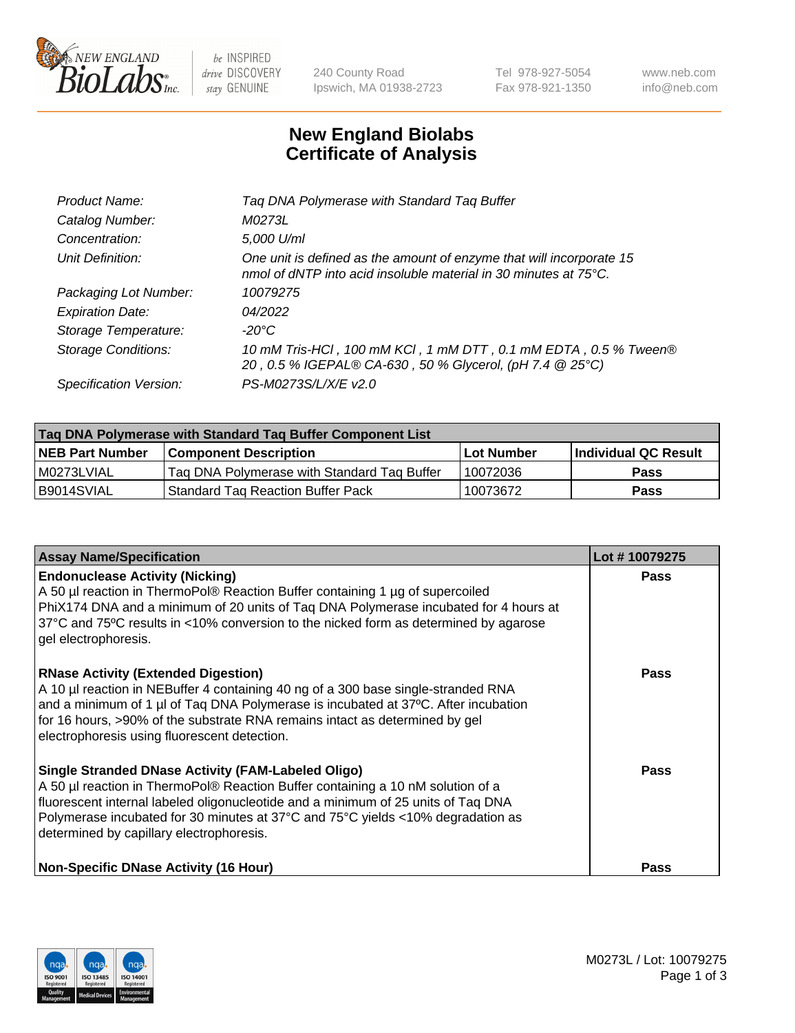

be INSPIRED drive DISCOVERY stay GENUINE

240 County Road Ipswich, MA 01938-2723 Tel 978-927-5054 Fax 978-921-1350 www.neb.com info@neb.com

## **New England Biolabs Certificate of Analysis**

| Tag DNA Polymerase with Standard Tag Buffer                                                                                              |
|------------------------------------------------------------------------------------------------------------------------------------------|
| M0273L                                                                                                                                   |
| 5,000 U/ml                                                                                                                               |
| One unit is defined as the amount of enzyme that will incorporate 15<br>nmol of dNTP into acid insoluble material in 30 minutes at 75°C. |
| 10079275                                                                                                                                 |
| 04/2022                                                                                                                                  |
| $-20^{\circ}$ C                                                                                                                          |
| 10 mM Tris-HCl, 100 mM KCl, 1 mM DTT, 0.1 mM EDTA, 0.5 % Tween®<br>20, 0.5 % IGEPAL® CA-630, 50 % Glycerol, (pH 7.4 @ 25°C)              |
| PS-M0273S/L/X/E v2.0                                                                                                                     |
|                                                                                                                                          |

| Tag DNA Polymerase with Standard Tag Buffer Component List |                                             |                   |                      |  |  |
|------------------------------------------------------------|---------------------------------------------|-------------------|----------------------|--|--|
| <b>NEB Part Number</b>                                     | Component Description_                      | <b>Lot Number</b> | Individual QC Result |  |  |
| M0273LVIAL                                                 | Tag DNA Polymerase with Standard Tag Buffer | 10072036          | Pass                 |  |  |
| B9014SVIAL                                                 | <b>Standard Tag Reaction Buffer Pack</b>    | 10073672          | <b>Pass</b>          |  |  |

| <b>Assay Name/Specification</b>                                                                                                                                                                                                                                                                                                                                  | Lot #10079275 |
|------------------------------------------------------------------------------------------------------------------------------------------------------------------------------------------------------------------------------------------------------------------------------------------------------------------------------------------------------------------|---------------|
| <b>Endonuclease Activity (Nicking)</b><br>A 50 µl reaction in ThermoPol® Reaction Buffer containing 1 µg of supercoiled<br>PhiX174 DNA and a minimum of 20 units of Tag DNA Polymerase incubated for 4 hours at<br>37°C and 75°C results in <10% conversion to the nicked form as determined by agarose<br>gel electrophoresis.                                  | <b>Pass</b>   |
| <b>RNase Activity (Extended Digestion)</b><br>A 10 µl reaction in NEBuffer 4 containing 40 ng of a 300 base single-stranded RNA<br>and a minimum of 1 µl of Taq DNA Polymerase is incubated at 37°C. After incubation<br>for 16 hours, >90% of the substrate RNA remains intact as determined by gel<br>electrophoresis using fluorescent detection.             | Pass          |
| <b>Single Stranded DNase Activity (FAM-Labeled Oligo)</b><br>A 50 µl reaction in ThermoPol® Reaction Buffer containing a 10 nM solution of a<br>fluorescent internal labeled oligonucleotide and a minimum of 25 units of Taq DNA<br>Polymerase incubated for 30 minutes at 37°C and 75°C yields <10% degradation as<br>determined by capillary electrophoresis. | Pass          |
| <b>Non-Specific DNase Activity (16 Hour)</b>                                                                                                                                                                                                                                                                                                                     | Pass          |

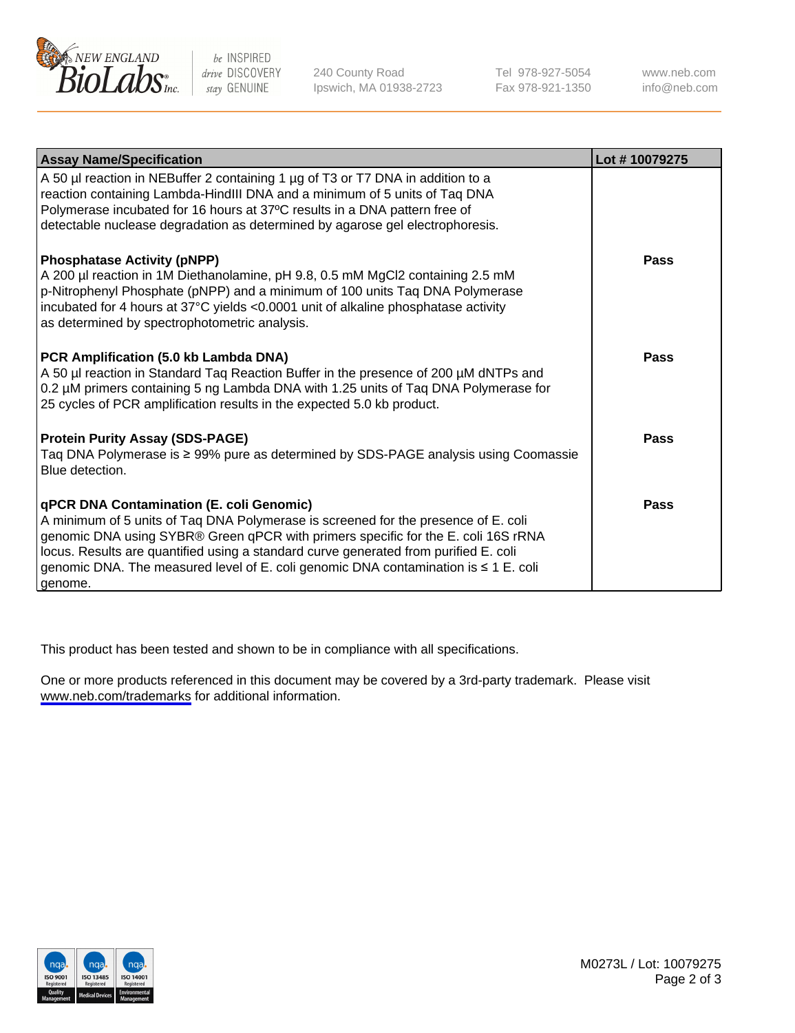

be INSPIRED drive DISCOVERY stay GENUINE

240 County Road Ipswich, MA 01938-2723 Tel 978-927-5054 Fax 978-921-1350

www.neb.com info@neb.com

| <b>Assay Name/Specification</b>                                                                                                                                                                                                                                                                                                                                                                                      | Lot #10079275 |
|----------------------------------------------------------------------------------------------------------------------------------------------------------------------------------------------------------------------------------------------------------------------------------------------------------------------------------------------------------------------------------------------------------------------|---------------|
| A 50 µl reaction in NEBuffer 2 containing 1 µg of T3 or T7 DNA in addition to a<br>reaction containing Lambda-HindIII DNA and a minimum of 5 units of Taq DNA<br>Polymerase incubated for 16 hours at 37°C results in a DNA pattern free of<br>detectable nuclease degradation as determined by agarose gel electrophoresis.                                                                                         |               |
| <b>Phosphatase Activity (pNPP)</b><br>A 200 µl reaction in 1M Diethanolamine, pH 9.8, 0.5 mM MgCl2 containing 2.5 mM<br>p-Nitrophenyl Phosphate (pNPP) and a minimum of 100 units Taq DNA Polymerase<br>incubated for 4 hours at 37°C yields <0.0001 unit of alkaline phosphatase activity<br>as determined by spectrophotometric analysis.                                                                          | Pass          |
| PCR Amplification (5.0 kb Lambda DNA)<br>A 50 µl reaction in Standard Tag Reaction Buffer in the presence of 200 µM dNTPs and<br>0.2 µM primers containing 5 ng Lambda DNA with 1.25 units of Tag DNA Polymerase for<br>25 cycles of PCR amplification results in the expected 5.0 kb product.                                                                                                                       | Pass          |
| <b>Protein Purity Assay (SDS-PAGE)</b><br>Taq DNA Polymerase is ≥ 99% pure as determined by SDS-PAGE analysis using Coomassie<br>Blue detection.                                                                                                                                                                                                                                                                     | Pass          |
| <b>qPCR DNA Contamination (E. coli Genomic)</b><br>A minimum of 5 units of Taq DNA Polymerase is screened for the presence of E. coli<br>genomic DNA using SYBR® Green qPCR with primers specific for the E. coli 16S rRNA<br>locus. Results are quantified using a standard curve generated from purified E. coli<br>genomic DNA. The measured level of E. coli genomic DNA contamination is ≤ 1 E. coli<br>genome. | Pass          |

This product has been tested and shown to be in compliance with all specifications.

One or more products referenced in this document may be covered by a 3rd-party trademark. Please visit <www.neb.com/trademarks>for additional information.